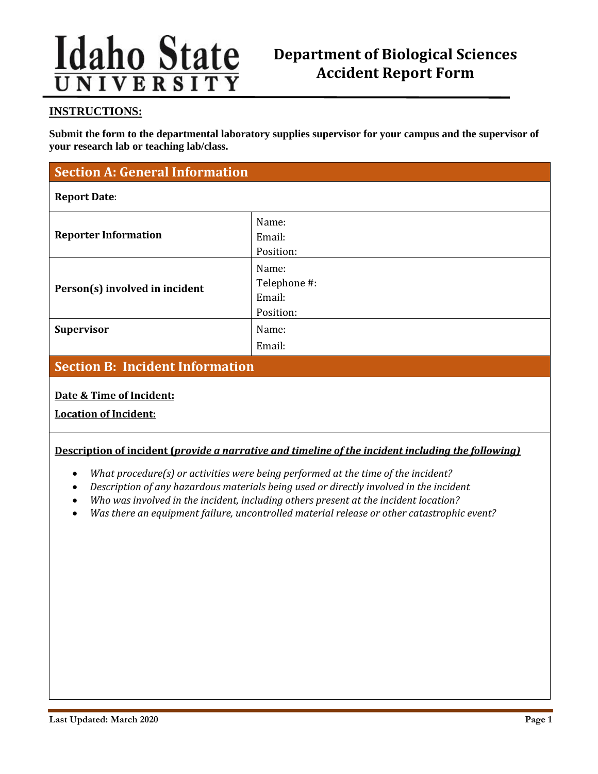# **Idaho State**

# **Department of Biological Sciences Accident Report Form**

## **INSTRUCTIONS:**

**Submit the form to the departmental laboratory supplies supervisor for your campus and the supervisor of your research lab or teaching lab/class.**

# **Section A: General Information**

#### **Report Date**:

| Name:<br>Email:<br>Position:                 |
|----------------------------------------------|
| Name:<br>Telephone #:<br>Email:<br>Position: |
| Name:<br>Email:                              |
|                                              |

# **Section B: Incident Information**

## **Date & Time of Incident:**

**Location of Incident:**

## **Description of incident (***provide a narrative and timeline of the incident including the following)*

- *What procedure(s) or activities were being performed at the time of the incident?*
- *Description of any hazardous materials being used or directly involved in the incident*
- *Who was involved in the incident, including others present at the incident location?*
- *Was there an equipment failure, uncontrolled material release or other catastrophic event?*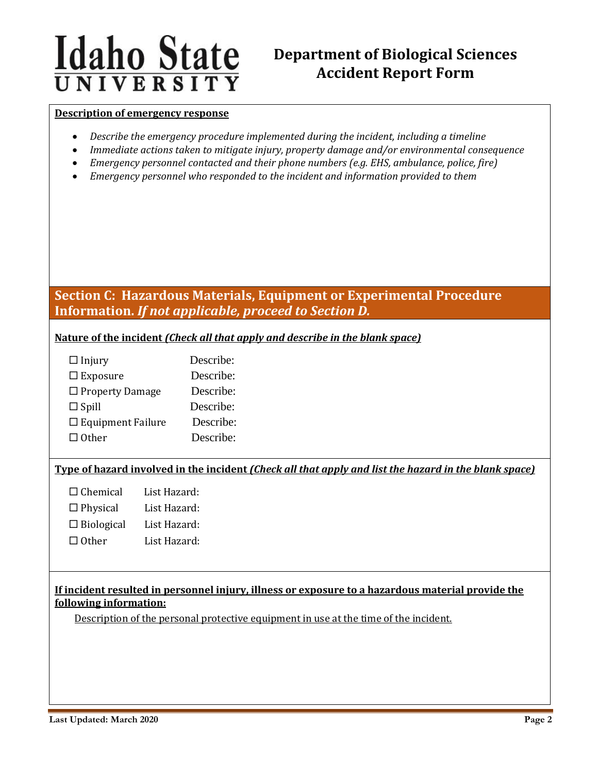# **Idaho State** UNIVERSITY

# **Department of Biological Sciences Accident Report Form**

#### **Description of emergency response**

- *Describe the emergency procedure implemented during the incident, including a timeline*
- *Immediate actions taken to mitigate injury, property damage and/or environmental consequence*
- *Emergency personnel contacted and their phone numbers (e.g. EHS, ambulance, police, fire)*
- *Emergency personnel who responded to the incident and information provided to them*

# **Section C: Hazardous Materials, Equipment or Experimental Procedure Information.** *If not applicable, proceed to Section D.*

**Nature of the incident** *(Check all that apply and describe in the blank space)*

| $\Box$ Injury               | Describe: |
|-----------------------------|-----------|
| $\Box$ Exposure             | Describe: |
| $\Box$ Property Damage      | Describe: |
| $\Box$ Spill                | Describe: |
| $\square$ Equipment Failure | Describe: |
| $\Box$ Other                | Describe: |

## **Type of hazard involved in the incident** *(Check all that apply and list the hazard in the blank space)*

| $\Box$ Chemical   | List Hazard: |
|-------------------|--------------|
| $\Box$ Physical   | List Hazard: |
| $\Box$ Biological | List Hazard: |
| $\Box$ Other      | List Hazard: |

# **If incident resulted in personnel injury, illness or exposure to a hazardous material provide the following information:**

Description of the personal protective equipment in use at the time of the incident.